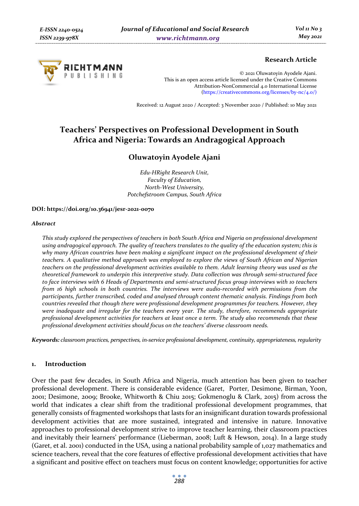

# **Research Article**

© 2021 Oluwatoyin Ayodele Ajani. This is an open access article licensed under the Creative Commons Attribution-NonCommercial 4.0 International License (https://creativecommons.org/licenses/by-nc/4.0/)

Received: 12 August 2020 / Accepted: 3 November 2020 / Published: 10 May 2021

# **Teachers' Perspectives on Professional Development in South Africa and Nigeria: Towards an Andragogical Approach**

# **Oluwatoyin Ayodele Ajani**

*Edu-HRight Research Unit, Faculty of Education, North-West University, Potchefstroom Campus, South Africa* 

#### **DOI: https://doi.org/10.36941/jesr-2021-0070**

#### *Abstract*

*This study explored the perspectives of teachers in both South Africa and Nigeria on professional development using andragogical approach. The quality of teachers translates to the quality of the education system; this is why many African countries have been making a significant impact on the professional development of their teachers. A qualitative method approach was employed to explore the views of South African and Nigerian teachers on the professional development activities available to them. Adult learning theory was used as the theoretical framework to underpin this interpretive study. Data collection was through semi-structured face to face interviews with 6 Heads of Departments and semi-structured focus group interviews with 10 teachers from 16 high schools in both countries. The interviews were audio-recorded with permissions from the participants, further transcribed, coded and analysed through content thematic analysis. Findings from both countries revealed that though there were professional development programmes for teachers. However, they were inadequate and irregular for the teachers every year. The study, therefore, recommends appropriate professional development activities for teachers at least once a term. The study also recommends that these professional development activities should focus on the teachers' diverse classroom needs.* 

*Keywords: classroom practices, perspectives, in-service professional development, continuity, appropriateness, regularity* 

#### **1. Introduction**

Over the past few decades, in South Africa and Nigeria, much attention has been given to teacher professional development. There is considerable evidence (Garet, Porter, Desimone, Birman, Yoon, 2001; Desimone, 2009; Brooke, Whitworth & Chiu 2015; Gokmenoglu & Clark, 2015) from across the world that indicates a clear shift from the traditional professional development programmes, that generally consists of fragmented workshops that lasts for an insignificant duration towards professional development activities that are more sustained, integrated and intensive in nature. Innovative approaches to professional development strive to improve teacher learning, their classroom practices and inevitably their learners' performance (Lieberman, 2008; Luft & Hewson, 2014). In a large study (Garet, et al. 2001) conducted in the USA, using a national probability sample of 1,027 mathematics and science teachers, reveal that the core features of effective professional development activities that have a significant and positive effect on teachers must focus on content knowledge; opportunities for active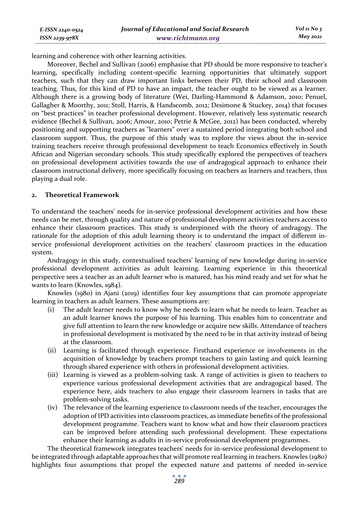| E-ISSN 2240-0524    | Journal of Educational and Social Research |  |
|---------------------|--------------------------------------------|--|
| $ISSN$ 2239-97 $8X$ | www.richtmann.org                          |  |

 *Vol 11 No 3 May 2021*

learning and coherence with other learning activities.

Moreover, Bechel and Sullivan (2006) emphasise that PD should be more responsive to teacher's learning, specifically including content-specific learning opportunities that ultimately support teachers, such that they can draw important links between their PD, their school and classroom teaching. Thus, for this kind of PD to have an impact, the teacher ought to be viewed as a learner. Although there is a growing body of literature (Wei, Darling-Hammond & Adamson, 2010; Penuel, Gallagher & Moorthy, 2011; Stoll, Harris, & Handscomb, 2012; Desimone & Stuckey, 2014) that focuses on "best practices" in teacher professional development. However, relatively less systematic research evidence (Bechel & Sullivan, 2006; Amour, 2010; Petrie & McGee, 2012) has been conducted, whereby positioning and supporting teachers as "learners" over a sustained period integrating both school and classroom support. Thus, the purpose of this study was to explore the views about the in-service training teachers receive through professional development to teach Economics effectively in South African and Nigerian secondary schools. This study specifically explored the perspectives of teachers on professional development activities towards the use of andragogical approach to enhance their classroom instructional delivery, more specifically focusing on teachers as learners and teachers, thus playing a dual role.

#### **2. Theoretical Framework**

To understand the teachers' needs for in-service professional development activities and how these needs can be met, through quality and nature of professional development activities teachers access to enhance their classroom practices. This study is underpinned with the theory of andragogy. The rationale for the adoption of this adult learning theory is to understand the impact of different inservice professional development activities on the teachers' classroom practices in the education system.

Andragogy in this study, contextualised teachers' learning of new knowledge during in-service professional development activities as adult learning. Learning experience in this theoretical perspective sees a teacher as an adult learner who is matured, has his mind ready and set for what he wants to learn (Knowles, 1984).

Knowles (1980) in Ajani (2019) identifies four key assumptions that can promote appropriate learning in teachers as adult learners. These assumptions are:

- (i) The adult learner needs to know why he needs to learn what he needs to learn. Teacher as an adult learner knows the purpose of his learning. This enables him to concentrate and give full attention to learn the new knowledge or acquire new skills. Attendance of teachers in professional development is motivated by the need to be in that activity instead of being at the classroom.
- (ii) Learning is facilitated through experience. Firsthand experience or involvements in the acquisition of knowledge by teachers prompt teachers to gain lasting and quick learning through shared experience with others in professional development activities.
- (iii) Learning is viewed as a problem-solving task. A range of activities is given to teachers to experience various professional development activities that are andragogical based. The experience here, aids teachers to also engage their classroom learners in tasks that are problem-solving tasks.
- (iv) The relevance of the learning experience to classroom needs of the teacher, encourages the adoption of IPD activities into classroom practices, as immediate benefits of the professional development programme. Teachers want to know what and how their classroom practices can be improved before attending such professional development. These expectations enhance their learning as adults in in-service professional development programmes.

The theoretical framework integrates teachers' needs for in-service professional development to be integrated through adaptable approaches that will promote real learning in teachers. Knowles (1980) highlights four assumptions that propel the expected nature and patterns of needed in-service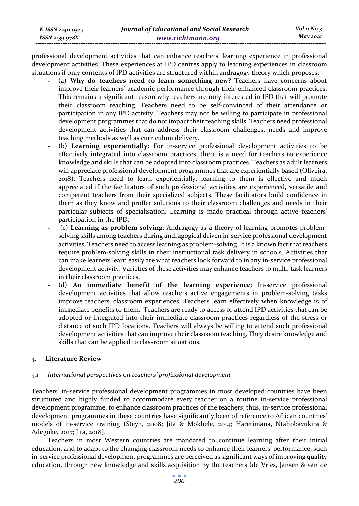professional development activities that can enhance teachers' learning experience in professional development activities. These experiences at IPD centres apply to learning experiences in classroom situations if only contents of IPD activities are structured within andragogy theory which proposes:

- **-** (a) **Why do teachers need to learn something new?** Teachers have concerns about improve their learners' academic performance through their enhanced classroom practices. This remains a significant reason why teachers are only interested in IPD that will promote their classroom teaching. Teachers need to be self-convinced of their attendance or participation in any IPD activity. Teachers may not be willing to participate in professional development programmes that do not impact their teaching skills. Teachers need professional development activities that can address their classroom challenges, needs and improve teaching methods as well as curriculum delivery.
- **-** (b**) Learning experientially**: For in-service professional development activities to be effectively integrated into classroom practices, there is a need for teachers to experience knowledge and skills that can be adopted into classroom practices. Teachers as adult learners will appreciate professional development programmes that are experientially based (Oliveira, 2018). Teachers need to learn experientially, learning to them is effective and much appreciated if the facilitators of such professional activities are experienced, versatile and competent teachers from their specialized subjects. These facilitators build confidence in them as they know and proffer solutions to their classroom challenges and needs in their particular subjects of specialisation. Learning is made practical through active teachers' participation in the IPD.
- **-** (c) **Learning as problem-solving**: Andragogy as a theory of learning promotes problemsolving skills among teachers during andragogical driven in-service professional development activities. Teachers need to access learning as problem-solving. It is a known fact that teachers require problem-solving skills in their instructional task delivery in schools. Activities that can make learners learn easily are what teachers look forward to in any in-service professional development activity. Varieties of these activities may enhance teachers to multi-task learners in their classroom practices.
- **-** (d) **An immediate benefit of the learning experience**: In-service professional development activities that allow teachers active engagements in problem-solving tasks improve teachers' classroom experiences. Teachers learn effectively when knowledge is of immediate benefits to them. Teachers are ready to access or attend IPD activities that can be adopted or integrated into their immediate classroom practices regardless of the stress or distance of such IPD locations. Teachers will always be willing to attend such professional development activities that can improve their classroom teaching. They desire knowledge and skills that can be applied to classroom situations.

# **3. Literature Review**

*E-ISSN 2240-0524 ISSN 2239-978X*

# *3.1 International perspectives on teachers' professional development*

Teachers' in-service professional development programmes in most developed countries have been structured and highly funded to accommodate every teacher on a routine in-service professional development programme, to enhance classroom practices of the teachers; thus, in-service professional development programmes in these countries have significantly been of reference to African countries' models of in-service training (Steyn, 2008; Jita & Mokhele, 2014; Harerimana, Ntahobavukira & Adegoke, 2017; Jita, 2018).

Teachers in most Western countries are mandated to continue learning after their initial education, and to adapt to the changing classroom needs to enhance their learners' performance; such in-service professional development programmes are perceived as significant ways of improving quality education, through new knowledge and skills acquisition by the teachers (de Vries, Jansen & van de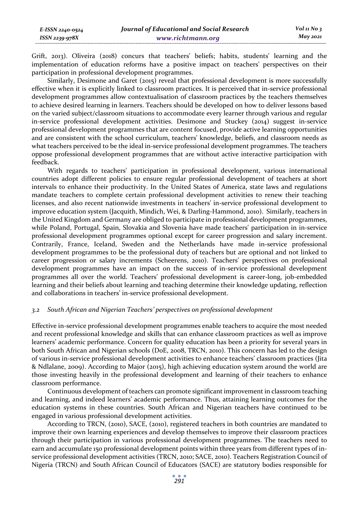Grift, 2013). Oliveira (2018) concurs that teachers' beliefs; habits, students' learning and the implementation of education reforms have a positive impact on teachers' perspectives on their participation in professional development programmes.

Similarly, Desimone and Garet (2015) reveal that professional development is more successfully effective when it is explicitly linked to classroom practices. It is perceived that in-service professional development programmes allow contextualisation of classroom practices by the teachers themselves to achieve desired learning in learners. Teachers should be developed on how to deliver lessons based on the varied subject/classroom situations to accommodate every learner through various and regular in-service professional development activities. Desimone and Stuckey (2014) suggest in-service professional development programmes that are content focused, provide active learning opportunities and are consistent with the school curriculum, teachers' knowledge, beliefs, and classroom needs as what teachers perceived to be the ideal in-service professional development programmes. The teachers oppose professional development programmes that are without active interactive participation with feedback.

With regards to teachers' participation in professional development, various international countries adopt different policies to ensure regular professional development of teachers at short intervals to enhance their productivity. In the United States of America, state laws and regulations mandate teachers to complete certain professional development activities to renew their teaching licenses, and also recent nationwide investments in teachers' in-service professional development to improve education system (Jacquith, Mindich, Wei, & Darling-Hammond, 2010). Similarly, teachers in the United Kingdom and Germany are obliged to participate in professional development programmes, while Poland, Portugal, Spain, Slovakia and Slovenia have made teachers' participation in in-service professional development programmes optional except for career progression and salary increment. Contrarily, France, Iceland, Sweden and the Netherlands have made in-service professional development programmes to be the professional duty of teachers but are optional and not linked to career progression or salary increments (Scheerens, 2010). Teachers' perspectives on professional development programmes have an impact on the success of in-service professional development programmes all over the world. Teachers' professional development is career-long, job-embedded learning and their beliefs about learning and teaching determine their knowledge updating, reflection and collaborations in teachers' in-service professional development.

#### *3.2 South African and Nigerian Teachers' perspectives on professional development*

Effective in-service professional development programmes enable teachers to acquire the most needed and recent professional knowledge and skills that can enhance classroom practices as well as improve learners' academic performance. Concern for quality education has been a priority for several years in both South African and Nigerian schools (DoE, 2008, TRCN, 2010). This concern has led to the design of various in-service professional development activities to enhance teachers' classroom practices (Jita & Ndlalane, 2009). According to Major (2015), high achieving education system around the world are those investing heavily in the professional development and learning of their teachers to enhance classroom performance.

Continuous development of teachers can promote significant improvement in classroom teaching and learning, and indeed learners' academic performance. Thus, attaining learning outcomes for the education systems in these countries. South African and Nigerian teachers have continued to be engaged in various professional development activities.

According to TRCN, (2010), SACE, (2010), registered teachers in both countries are mandated to improve their own learning experiences and develop themselves to improve their classroom practices through their participation in various professional development programmes. The teachers need to earn and accumulate 150 professional development points within three years from different types of inservice professional development activities (TRCN, 2010; SACE, 2010). Teachers Registration Council of Nigeria (TRCN) and South African Council of Educators (SACE) are statutory bodies responsible for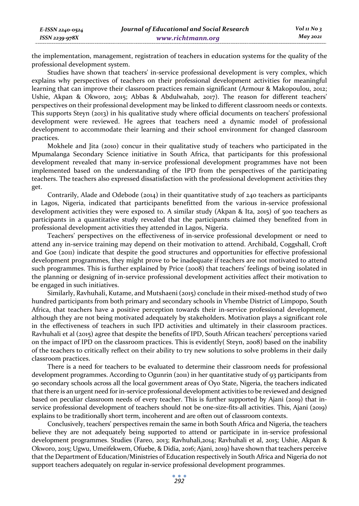the implementation, management, registration of teachers in education systems for the quality of the professional development system.

Studies have shown that teachers' in-service professional development is very complex, which explains why perspectives of teachers on their professional development activities for meaningful learning that can improve their classroom practices remain significant (Armour & Makopoulou, 2012; Ushie, Akpan & Okworo, 2015; Abbas & Abdulwahab, 2017). The reason for different teachers' perspectives on their professional development may be linked to different classroom needs or contexts. This supports Steyn (2013) in his qualitative study where official documents on teachers' professional development were reviewed. He agrees that teachers need a dynamic model of professional development to accommodate their learning and their school environment for changed classroom practices.

Mokhele and Jita (2010) concur in their qualitative study of teachers who participated in the Mpumalanga Secondary Science initiative in South Africa, that participants for this professional development revealed that many in-service professional development programmes have not been implemented based on the understanding of the IPD from the perspectives of the participating teachers. The teachers also expressed dissatisfaction with the professional development activities they get.

Contrarily, Alade and Odebode (2014) in their quantitative study of 240 teachers as participants in Lagos, Nigeria, indicated that participants benefitted from the various in-service professional development activities they were exposed to. A similar study (Akpan & Ita, 2015) of 500 teachers as participants in a quantitative study revealed that the participants claimed they benefited from in professional development activities they attended in Lagos, Nigeria.

Teachers' perspectives on the effectiveness of in-service professional development or need to attend any in-service training may depend on their motivation to attend. Archibald, Coggshall, Croft and Goe (2011) indicate that despite the good structures and opportunities for effective professional development programmes, they might prove to be inadequate if teachers are not motivated to attend such programmes. This is further explained by Price (2008) that teachers' feelings of being isolated in the planning or designing of in-service professional development activities affect their motivation to be engaged in such initiatives.

Similarly, Ravhuhali, Kutame, and Mutshaeni (2015) conclude in their mixed-method study of two hundred participants from both primary and secondary schools in Vhembe District of Limpopo, South Africa, that teachers have a positive perception towards their in-service professional development, although they are not being motivated adequately by stakeholders. Motivation plays a significant role in the effectiveness of teachers in such IPD activities and ultimately in their classroom practices. Ravhuhali et al (2015) agree that despite the benefits of IPD, South African teachers' perceptions varied on the impact of IPD on the classroom practices. This is evidently( Steyn, 2008) based on the inability of the teachers to critically reflect on their ability to try new solutions to solve problems in their daily classroom practices.

There is a need for teachers to be evaluated to determine their classroom needs for professional development programmes. According to Ogunrin (2011) in her quantitative study of 93 participants from 90 secondary schools across all the local government areas of Oyo State, Nigeria, the teachers indicated that there is an urgent need for in-service professional development activities to be reviewed and designed based on peculiar classroom needs of every teacher. This is further supported by Ajani (2019) that inservice professional development of teachers should not be one-size-fits-all activities. This, Ajani (2019) explains to be traditionally short term, incoherent and are often out of classroom contexts.

Conclusively, teachers' perspectives remain the same in both South Africa and Nigeria, the teachers believe they are not adequately being supported to attend or participate in in-service professional development programmes. Studies (Fareo, 2013; Ravhuhali,2014; Ravhuhali et al, 2015; Ushie, Akpan & Okworo, 2015; Ugwu, Umeifekwem, Ofuebe, & Didia, 2016; Ajani, 2019) have shown that teachers perceive that the Department of Education/Ministries of Education respectively in South Africa and Nigeria do not support teachers adequately on regular in-service professional development programmes.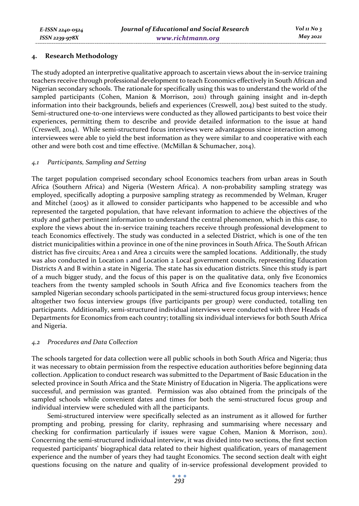#### **4. Research Methodology**

The study adopted an interpretive qualitative approach to ascertain views about the in-service training teachers receive through professional development to teach Economics effectively in South African and Nigerian secondary schools. The rationale for specifically using this was to understand the world of the sampled participants (Cohen, Manion & Morrison, 2011) through gaining insight and in-depth information into their backgrounds, beliefs and experiences (Creswell, 2014) best suited to the study. Semi-structured one-to-one interviews were conducted as they allowed participants to best voice their experiences, permitting them to describe and provide detailed information to the issue at hand (Creswell, 2014). While semi-structured focus interviews were advantageous since interaction among interviewees were able to yield the best information as they were similar to and cooperative with each other and were both cost and time effective. (McMillan & Schumacher, 2014).

#### *4.1 Participants, Sampling and Setting*

The target population comprised secondary school Economics teachers from urban areas in South Africa (Southern Africa) and Nigeria (Western Africa). A non-probability sampling strategy was employed, specifically adopting a purposive sampling strategy as recommended by Welman, Kruger and Mitchel (2005) as it allowed to consider participants who happened to be accessible and who represented the targeted population, that have relevant information to achieve the objectives of the study and gather pertinent information to understand the central phenomenon, which in this case, to explore the views about the in-service training teachers receive through professional development to teach Economics effectively. The study was conducted in a selected District, which is one of the ten district municipalities within a province in one of the nine provinces in South Africa. The South African district has five circuits; Area 1 and Area 2 circuits were the sampled locations. Additionally, the study was also conducted in Location 1 and Location 2 Local government councils, representing Education Districts A and B within a state in Nigeria. The state has six education districts. Since this study is part of a much bigger study, and the focus of this paper is on the qualitative data, only five Economics teachers from the twenty sampled schools in South Africa and five Economics teachers from the sampled Nigerian secondary schools participated in the semi-structured focus group interviews; hence altogether two focus interview groups (five participants per group) were conducted, totalling ten participants. Additionally, semi-structured individual interviews were conducted with three Heads of Departments for Economics from each country; totalling six individual interviews for both South Africa and Nigeria.

# *4.2 Procedures and Data Collection*

The schools targeted for data collection were all public schools in both South Africa and Nigeria; thus it was necessary to obtain permission from the respective education authorities before beginning data collection. Application to conduct research was submitted to the Department of Basic Education in the selected province in South Africa and the State Ministry of Education in Nigeria. The applications were successful, and permission was granted. Permission was also obtained from the principals of the sampled schools while convenient dates and times for both the semi-structured focus group and individual interview were scheduled with all the participants.

Semi-structured interview were specifically selected as an instrument as it allowed for further prompting and probing, pressing for clarity, rephrasing and summarising where necessary and checking for confirmation particularly if issues were vague Cohen, Manion & Morrison, 2011). Concerning the semi-structured individual interview, it was divided into two sections, the first section requested participants' biographical data related to their highest qualification, years of management experience and the number of years they had taught Economics. The second section dealt with eight questions focusing on the nature and quality of in-service professional development provided to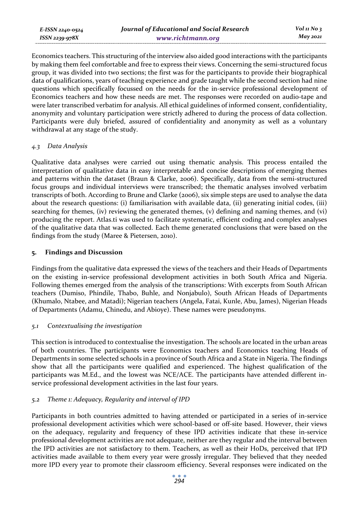Economics teachers. This structuring of the interview also aided good interactions with the participants by making them feel comfortable and free to express their views. Concerning the semi-structured focus group, it was divided into two sections; the first was for the participants to provide their biographical data of qualifications, years of teaching experience and grade taught while the second section had nine questions which specifically focussed on the needs for the in-service professional development of Economics teachers and how these needs are met. The responses were recorded on audio-tape and were later transcribed verbatim for analysis. All ethical guidelines of informed consent, confidentiality, anonymity and voluntary participation were strictly adhered to during the process of data collection. Participants were duly briefed, assured of confidentiality and anonymity as well as a voluntary withdrawal at any stage of the study.

# *4.3 Data Analysis*

Qualitative data analyses were carried out using thematic analysis. This process entailed the interpretation of qualitative data in easy interpretable and concise descriptions of emerging themes and patterns within the dataset (Braun & Clarke, 2006). Specifically, data from the semi-structured focus groups and individual interviews were transcribed; the thematic analyses involved verbatim transcripts of both. According to Brune and Clarke (2006), six simple steps are used to analyse the data about the research questions: (i) familiarisation with available data, (ii) generating initial codes, (iii) searching for themes, (iv) reviewing the generated themes, (v) defining and naming themes, and (vi) producing the report. Atlas.ti was used to facilitate systematic, efficient coding and complex analyses of the qualitative data that was collected. Each theme generated conclusions that were based on the findings from the study (Maree & Pietersen, 2010).

# **5. Findings and Discussion**

Findings from the qualitative data expressed the views of the teachers and their Heads of Departments on the existing in-service professional development activities in both South Africa and Nigeria. Following themes emerged from the analysis of the transcriptions: With excerpts from South African teachers (Dumiso, Phindile, Thabo, Buhle, and Nonjabulo), South African Heads of Departments (Khumalo, Ntabee, and Matadi); Nigerian teachers (Angela, Fatai, Kunle, Abu, James), Nigerian Heads of Departments (Adamu, Chinedu, and Abioye). These names were pseudonyms.

# *5.1 Contextualising the investigation*

This section is introduced to contextualise the investigation. The schools are located in the urban areas of both countries. The participants were Economics teachers and Economics teaching Heads of Departments in some selected schools in a province of South Africa and a State in Nigeria. The findings show that all the participants were qualified and experienced. The highest qualification of the participants was M.Ed., and the lowest was NCE/ACE. The participants have attended different inservice professional development activities in the last four years.

# *5.2 Theme 1: Adequacy, Regularity and interval of IPD*

Participants in both countries admitted to having attended or participated in a series of in-service professional development activities which were school-based or off-site based. However, their views on the adequacy, regularity and frequency of these IPD activities indicate that these in-service professional development activities are not adequate, neither are they regular and the interval between the IPD activities are not satisfactory to them. Teachers, as well as their HoDs, perceived that IPD activities made available to them every year were grossly irregular. They believed that they needed more IPD every year to promote their classroom efficiency. Several responses were indicated on the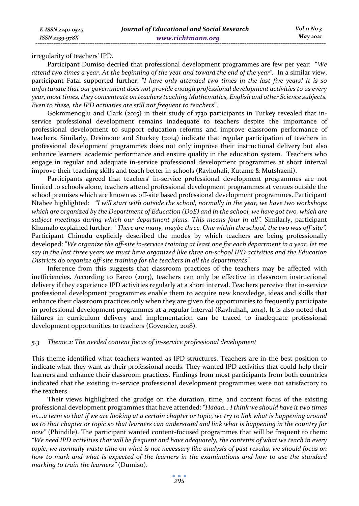irregularity of teachers' IPD.

Participant Dumiso decried that professional development programmes are few per year: "*We attend two times a year. At the beginning of the year and toward the end of the year".* In a similar view, participant Fatai supported further: *"I have only attended two times in the last five years! It is so unfortunate that our government does not provide enough professional development activities to us every year, most times, they concentrate on teachers teaching Mathematics, English and other Science subjects. Even to these, the IPD activities are still not frequent to teachers*".

Gokmmenoglu and Clark (2015) in their study of 1730 participants in Turkey revealed that inservice professional development remains inadequate to teachers despite the importance of professional development to support education reforms and improve classroom performance of teachers. Similarly, Desimone and Stuckey (2014) indicate that regular participation of teachers in professional development programmes does not only improve their instructional delivery but also enhance learners' academic performance and ensure quality in the education system. Teachers who engage in regular and adequate in-service professional development programmes at short interval improve their teaching skills and teach better in schools (Ravhuhali, Kutame & Mutshaeni).

Participants agreed that teachers' in-service professional development programmes are not limited to schools alone, teachers attend professional development programmes at venues outside the school premises which are known as off-site based professional development programmes. Participant Ntabee highlighted: *"I will start with outside the school, normally in the year, we have two workshops which are organized by the Department of Education (DoE) and in the school, we have got two, which are subject meetings during which our department plans. This means four in all".* Similarly, participant Khumalo explained further: *"There are many, maybe three. One within the school, the two was off-site".*  Participant Chinedu explicitly described the modes by which teachers are being professionally developed: *"We organize the off-site in-service training at least one for each department in a year, let me say in the last three years we must have organized like three on-school IPD activities and the Education Districts do organize off-site training for the teachers in all the departments".*

Inference from this suggests that classroom practices of the teachers may be affected with inefficiencies. According to Fareo (2013), teachers can only be effective in classroom instructional delivery if they experience IPD activities regularly at a short interval. Teachers perceive that in-service professional development programmes enable them to acquire new knowledge, ideas and skills that enhance their classroom practices only when they are given the opportunities to frequently participate in professional development programmes at a regular interval (Ravhuhali, 2014). It is also noted that failures in curriculum delivery and implementation can be traced to inadequate professional development opportunities to teachers (Govender, 2018).

# *5.3 Theme 2: The needed content focus of in-service professional development*

This theme identified what teachers wanted as IPD structures. Teachers are in the best position to indicate what they want as their professional needs. They wanted IPD activities that could help their learners and enhance their classroom practices. Findings from most participants from both countries indicated that the existing in-service professional development programmes were not satisfactory to the teachers.

Their views highlighted the grudge on the duration, time, and content focus of the existing professional development programmes that have attended: *"Haaaa… I think we should have it two times in....a term so that if we are looking at a certain chapter or topic, we try to link what is happening around us to that chapter or topic so that learners can understand and link what is happening in the country for now"* (Phindile). The participant wanted content-focused programmes that will be frequent to them: *"We need IPD activities that will be frequent and have adequately, the contents of what we teach in every topic, we normally waste time on what is not necessary like analysis of past results, we should focus on how to mark and what is expected of the learners in the examinations and how to use the standard marking to train the learners"* (Dumiso).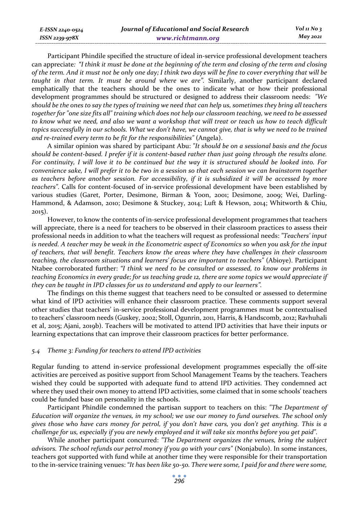Participant Phindile specified the structure of ideal in-service professional development teachers can appreciate*: "I think it must be done at the beginning of the term and closing of the term and closing of the term. And it must not be only one day; I think two days will be fine to cover everything that will be taught in that term. It must be around where we are".* Similarly, another participant declared emphatically that the teachers should be the ones to indicate what or how their professional development programmes should be structured or designed to address their classroom needs: *"We should be the ones to say the types of training we need that can help us, sometimes they bring all teachers together for "one size fits all" training which does not help our classroom teaching, we need to be assessed to know what we need, and also we want a workshop that will treat or teach us how to teach difficult topics successfully in our schools. What we don't have, we cannot give, that is why we need to be trained and re-trained every term to be fit for the responsibilities"* (Angela).

A similar opinion was shared by participant Abu: *"It should be on a sessional basis and the focus should be content-based. I prefer if it is content-based rather than just going through the results alone. For continuity, I will love it to be continued but the way it is structured should be looked into. For convenience sake, I will prefer it to be two in a session so that each session we can brainstorm together as teachers before another session. For accessibility, if it is subsidized it will be accessed by more teachers".* Calls for content-focused of in-service professional development have been established by various studies (Garet, Porter, Desimone, Birman & Yoon, 2001; Desimone, 2009; Wei, Darling-Hammond, & Adamson, 2010; Desimone & Stuckey, 2014; Luft & Hewson, 2014; Whitworth & Chiu, 2015).

However, to know the contents of in-service professional development programmes that teachers will appreciate, there is a need for teachers to be observed in their classroom practices to assess their professional needs in addition to what the teachers will request as professional needs: *"Teachers' input is needed. A teacher may be weak in the Econometric aspect of Economics so when you ask for the input of teachers, that will benefit. Teachers know the areas where they have challenges in their classroom teaching, the classroom situations and learners' focus are important to teachers"* (Abioye). Participant Ntabee corroborated further: *"I think we need to be consulted or assessed, to know our problems in teaching Economics in every grade; for us teaching grade 12, there are some topics we would appreciate if they can be taught in IPD classes for us to understand and apply to our learners".* 

The findings on this theme suggest that teachers need to be consulted or assessed to determine what kind of IPD activities will enhance their classroom practice. These comments support several other studies that teachers' in-service professional development programmes must be contextualised to teachers' classroom needs (Guskey, 2002; Stoll, Ogunrin, 2011, Harris, & Handscomb, 2012; Ravhuhali et al, 2015; Ajani, 2019b). Teachers will be motivated to attend IPD activities that have their inputs or learning expectations that can improve their classroom practices for better performance.

#### *5.4 Theme 3: Funding for teachers to attend IPD activities*

*E-ISSN 2240-0524 ISSN 2239-978X*

Regular funding to attend in-service professional development programmes especially the off-site activities are perceived as positive support from School Management Teams by the teachers. Teachers wished they could be supported with adequate fund to attend IPD activities. They condemned act where they used their own money to attend IPD activities, some claimed that in some schools' teachers could be funded base on personality in the schools.

Participant Phindile condemned the partisan support to teachers on this: *"The Department of Education will organize the venues, in my school; we use our money to fund ourselves. The school only gives those who have cars money for petrol, if you don't have cars, you don't get anything. This is a challenge for us, especially if you are newly employed and it will take six months before you get paid".*

While another participant concurred: *"The Department organizes the venues, bring the subject advisors. The school refunds our petrol money if you go with your cars"* (Nonjabulo). In some instances, teachers got supported with fund while at another time they were responsible for their transportation to the in-service training venues: *"It has been like 50-50. There were some, I paid for and there were some,*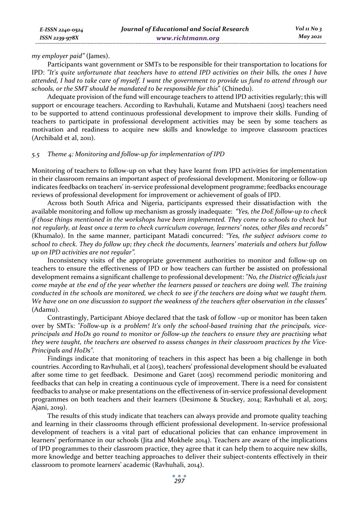*my employer paid"* (James).

Participants want government or SMTs to be responsible for their transportation to locations for IPD: *"It's quite unfortunate that teachers have to attend IPD activities on their bills, the ones I have attended, I had to take care of myself. I want the government to provide us fund to attend through our schools, or the SMT should be mandated to be responsible for this*" (Chinedu).

Adequate provision of the fund will encourage teachers to attend IPD activities regularly; this will support or encourage teachers. According to Ravhuhali, Kutame and Mutshaeni (2015) teachers need to be supported to attend continuous professional development to improve their skills. Funding of teachers to participate in professional development activities may be seen by some teachers as motivation and readiness to acquire new skills and knowledge to improve classroom practices (Archibald et al, 2011).

#### *5.5 Theme 4: Monitoring and follow-up for implementation of IPD*

Monitoring of teachers to follow-up on what they have learnt from IPD activities for implementation in their classroom remains an important aspect of professional development. Monitoring or follow-up indicates feedbacks on teachers' in-service professional development programme; feedbacks encourage reviews of professional development for improvement or achievement of goals of IPD.

Across both South Africa and Nigeria, participants expressed their dissatisfaction with the available monitoring and follow up mechanism as grossly inadequate: *"Yes, the DoE follow-up to check if those things mentioned in the workshops have been implemented. They come to schools to check but not regularly, at least once a term to check curriculum coverage, learners' notes, other files and records"*  (Khumalo). In the same manner, participant Matadi concurred: *"Yes, the subject advisors come to school to check. They do follow up; they check the documents, learners' materials and others but follow up on IPD activities are not regular".* 

Inconsistency visits of the appropriate government authorities to monitor and follow-up on teachers to ensure the effectiveness of IPD or how teachers can further be assisted on professional development remains a significant challenge to professional development: *"No, the District officials just come maybe at the end of the year whether the learners passed or teachers are doing well. The training conducted in the schools are monitored, we check to see if the teachers are doing what we taught them. We have one on one discussion to support the weakness of the teachers after observation in the classes"* (Adamu).

Contrastingly, Participant Abioye declared that the task of follow –up or monitor has been taken over by SMTs: *"Follow-up is a problem! It's only the school-based training that the principals, viceprincipals and HoDs go round to monitor or follow-up the teachers to ensure they are practising what they were taught, the teachers are observed to assess changes in their classroom practices by the Vice-Principals and HoDs".* 

Findings indicate that monitoring of teachers in this aspect has been a big challenge in both countries. According to Ravhuhali, et al (2015), teachers' professional development should be evaluated after some time to get feedback. Desimone and Garet (2015) recommend periodic monitoring and feedbacks that can help in creating a continuous cycle of improvement. There is a need for consistent feedbacks to analyse or make presentations on the effectiveness of in-service professional development programmes on both teachers and their learners (Desimone & Stuckey, 2014; Ravhuhali et al, 2015; Ajani, 2019).

The results of this study indicate that teachers can always provide and promote quality teaching and learning in their classrooms through efficient professional development. In-service professional development of teachers is a vital part of educational policies that can enhance improvement in learners' performance in our schools (Jita and Mokhele 2014). Teachers are aware of the implications of IPD programmes to their classroom practice, they agree that it can help them to acquire new skills, more knowledge and better teaching approaches to deliver their subject-contents effectively in their classroom to promote learners' academic (Ravhuhali, 2014).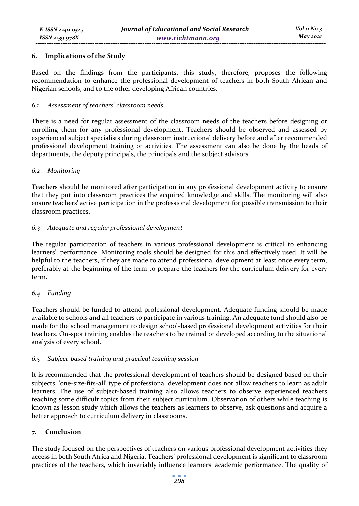# **6. Implications of the Study**

Based on the findings from the participants, this study, therefore, proposes the following recommendation to enhance the professional development of teachers in both South African and Nigerian schools, and to the other developing African countries.

#### *6.1 Assessment of teachers' classroom needs*

There is a need for regular assessment of the classroom needs of the teachers before designing or enrolling them for any professional development. Teachers should be observed and assessed by experienced subject specialists during classroom instructional delivery before and after recommended professional development training or activities. The assessment can also be done by the heads of departments, the deputy principals, the principals and the subject advisors.

#### *6.2 Monitoring*

Teachers should be monitored after participation in any professional development activity to ensure that they put into classroom practices the acquired knowledge and skills. The monitoring will also ensure teachers' active participation in the professional development for possible transmission to their classroom practices.

# *6.3 Adequate and regular professional development*

The regular participation of teachers in various professional development is critical to enhancing learners'' performance. Monitoring tools should be designed for this and effectively used. It will be helpful to the teachers, if they are made to attend professional development at least once every term, preferably at the beginning of the term to prepare the teachers for the curriculum delivery for every term.

# *6.4 Funding*

Teachers should be funded to attend professional development. Adequate funding should be made available to schools and all teachers to participate in various training. An adequate fund should also be made for the school management to design school-based professional development activities for their teachers. On-spot training enables the teachers to be trained or developed according to the situational analysis of every school.

# *6.5 Subject-based training and practical teaching session*

It is recommended that the professional development of teachers should be designed based on their subjects, 'one-size-fits-all' type of professional development does not allow teachers to learn as adult learners. The use of subject-based training also allows teachers to observe experienced teachers teaching some difficult topics from their subject curriculum. Observation of others while teaching is known as lesson study which allows the teachers as learners to observe, ask questions and acquire a better approach to curriculum delivery in classrooms.

# **7. Conclusion**

The study focused on the perspectives of teachers on various professional development activities they access in both South Africa and Nigeria. Teachers' professional development is significant to classroom practices of the teachers, which invariably influence learners' academic performance. The quality of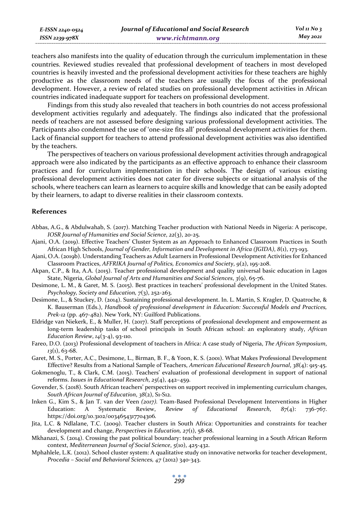teachers also manifests into the quality of education through the curriculum implementation in these countries. Reviewed studies revealed that professional development of teachers in most developed countries is heavily invested and the professional development activities for these teachers are highly productive as the classroom needs of the teachers are usually the focus of the professional development. However, a review of related studies on professional development activities in African countries indicated inadequate support for teachers on professional development.

Findings from this study also revealed that teachers in both countries do not access professional development activities regularly and adequately. The findings also indicated that the professional needs of teachers are not assessed before designing various professional development activities. The Participants also condemned the use of 'one-size fits all' professional development activities for them. Lack of financial support for teachers to attend professional development activities was also identified by the teachers.

The perspectives of teachers on various professional development activities through andragogical approach were also indicated by the participants as an effective approach to enhance their classroom practices and for curriculum implementation in their schools. The design of various existing professional development activities does not cater for diverse subjects or situational analysis of the schools, where teachers can learn as learners to acquire skills and knowledge that can be easily adopted by their learners, to adapt to diverse realities in their classroom contexts.

#### **References**

- Abbas, A.G., & Abdulwahab, S. (2017). Matching Teacher production with National Needs in Nigeria: A periscope, *IOSR Journal of Humanities and Social Science*, *22*(3), 20-25.
- Ajani, O.A. (2019). Effective Teachers' Cluster System as an Approach to Enhanced Classroom Practices in South African High Schools, *Journal of Gender, Information and Development in Africa (JGIDA)*, *8*(1), 173-193.
- Ajani, O.A. (2019b). Understanding Teachers as Adult Learners in Professional Development Activities for Enhanced Classroom Practices, *AFFRIKA Journal of Politics, Economics and Society*, *9*(2), 195-208.
- Akpan, C.P., & Ita, A.A. (2015). Teacher professional development and quality universal basic education in Lagos State, Nigeria, *Global Journal of Arts and Humanities and Social Sciences*, *3*(9), 65-76.
- Desimone, L. M., & Garet, M. S. (2015). Best practices in teachers' professional development in the United States. *Psychology, Society and Education, 7*(3), 252-263.
- Desimone, L., & Stuckey, D. (2014). Sustaining professional development. In. L. Martin, S. Kragler, D. Quatroche, & K. Bauserman (Eds.), *Handbook of professional development in Education: Successful Models and Practices, Prek-12* (pp. 467-482). New York, NY: Guilford Publications.
- Eldridge van Niekerk, E., & Muller, H. (2017). Staff perceptions of professional development and empowerment as long-term leadership tasks of school principals in South African school: an exploratory study, *African Education Review*, *14*(3-4), 93-110.
- Fareo, D.O. (2013) Professional development of teachers in Africa: A case study of Nigeria, *The African Symposium*, *13*(1), 63-68.
- Garet, M. S., Porter, A.C., Desimone, L., Birman, B. F., & Yoon, K. S. (2001). What Makes Professional Development Effective? Results from a National Sample of Teachers, *American Educational Research Journal*, *38*(4): 915-45.
- Gokmenoglu, T., & Clark, C.M. (2015). Teachers' evaluation of professional development in support of national reforms. *Issues in Educational Research*, *25*(4), 442–459.
- Govender, S. (2018). South African teachers' perspectives on support received in implementing curriculum changes, *South African Journal of Education*, *38*(2), S1-S12.
- Inken G., Kim S., & Jan T. van der Veen *(2017).* Team-Based Professional Development Interventions in Higher Education: A Systematic Review, *Review of Educational Research*, *87*(4): 736-767. https://doi.org/10.3102/0034654317704306*.*
- Jita, L.C. & Ndlalane, T.C. (2009). Teacher clusters in South Africa: Opportunities and constraints for teacher development and change, *Perspectives in Education, 27*(1), 58-68.
- Mkhanazi, S. (2014). Crossing the past political boundary: teacher professional learning in a South African Reform context, *Mediterranean Journal of Social Science*, *5*(10), 425-432.
- Mphahlele, L.K. (2012). School cluster system: A qualitative study on innovative networks for teacher development, *Procedia – Social and Behavioral Sciences, 47* (2012) 340-343.